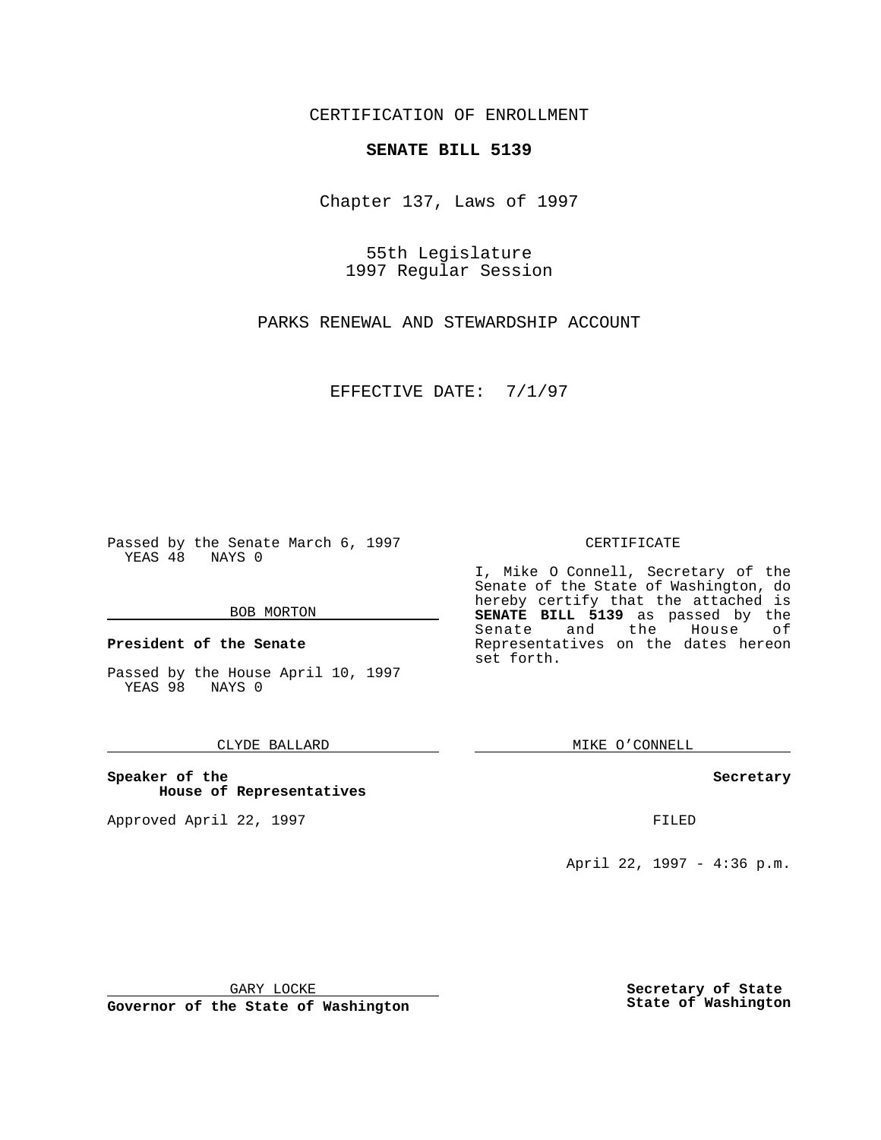CERTIFICATION OF ENROLLMENT

## **SENATE BILL 5139**

Chapter 137, Laws of 1997

55th Legislature 1997 Regular Session

PARKS RENEWAL AND STEWARDSHIP ACCOUNT

EFFECTIVE DATE: 7/1/97

Passed by the Senate March 6, 1997 YEAS 48 NAYS 0

#### BOB MORTON

**President of the Senate**

Passed by the House April 10, 1997 YEAS 98 NAYS 0

### CLYDE BALLARD

**Speaker of the House of Representatives**

Approved April 22, 1997 **FILED** 

#### CERTIFICATE

I, Mike O Connell, Secretary of the Senate of the State of Washington, do hereby certify that the attached is **SENATE BILL 5139** as passed by the Senate and the House of Representatives on the dates hereon set forth.

MIKE O'CONNELL

#### **Secretary**

April 22, 1997 - 4:36 p.m.

GARY LOCKE

**Governor of the State of Washington**

**Secretary of State State of Washington**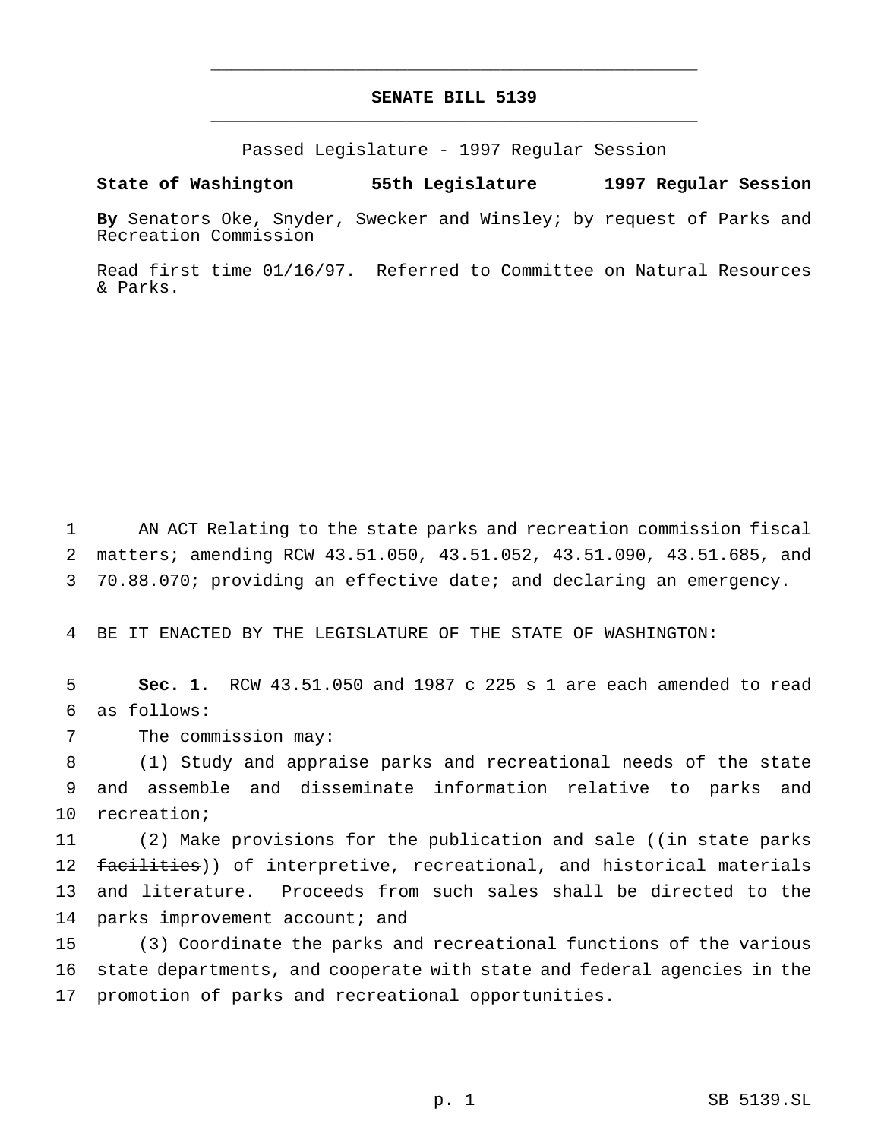# **SENATE BILL 5139** \_\_\_\_\_\_\_\_\_\_\_\_\_\_\_\_\_\_\_\_\_\_\_\_\_\_\_\_\_\_\_\_\_\_\_\_\_\_\_\_\_\_\_\_\_\_\_

\_\_\_\_\_\_\_\_\_\_\_\_\_\_\_\_\_\_\_\_\_\_\_\_\_\_\_\_\_\_\_\_\_\_\_\_\_\_\_\_\_\_\_\_\_\_\_

Passed Legislature - 1997 Regular Session

#### **State of Washington 55th Legislature 1997 Regular Session**

**By** Senators Oke, Snyder, Swecker and Winsley; by request of Parks and Recreation Commission

Read first time 01/16/97. Referred to Committee on Natural Resources & Parks.

1 AN ACT Relating to the state parks and recreation commission fiscal 2 matters; amending RCW 43.51.050, 43.51.052, 43.51.090, 43.51.685, and 3 70.88.070; providing an effective date; and declaring an emergency.

4 BE IT ENACTED BY THE LEGISLATURE OF THE STATE OF WASHINGTON:

5 **Sec. 1.** RCW 43.51.050 and 1987 c 225 s 1 are each amended to read 6 as follows:

7 The commission may:

8 (1) Study and appraise parks and recreational needs of the state 9 and assemble and disseminate information relative to parks and 10 recreation;

11 (2) Make provisions for the publication and sale ((in state parks 12 facilities)) of interpretive, recreational, and historical materials 13 and literature. Proceeds from such sales shall be directed to the 14 parks improvement account; and

15 (3) Coordinate the parks and recreational functions of the various 16 state departments, and cooperate with state and federal agencies in the 17 promotion of parks and recreational opportunities.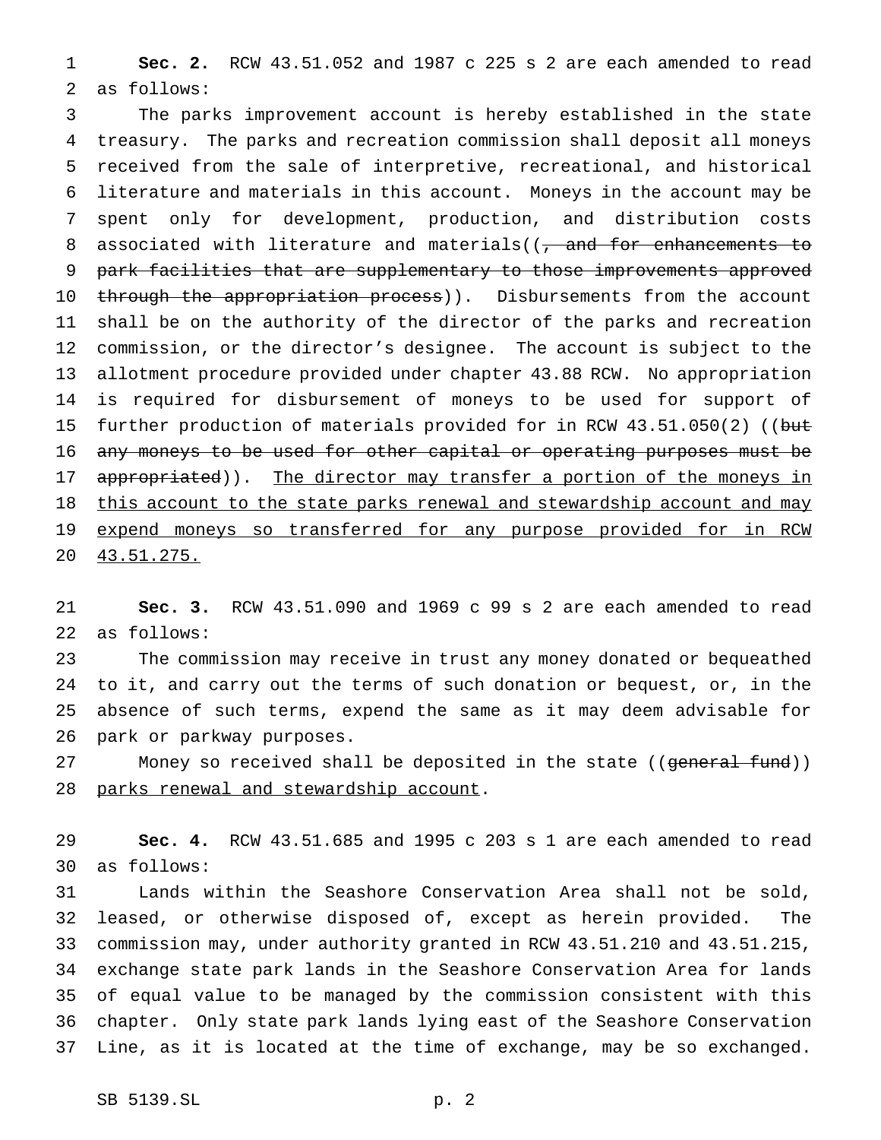**Sec. 2.** RCW 43.51.052 and 1987 c 225 s 2 are each amended to read as follows:

 The parks improvement account is hereby established in the state treasury. The parks and recreation commission shall deposit all moneys received from the sale of interpretive, recreational, and historical literature and materials in this account. Moneys in the account may be spent only for development, production, and distribution costs 8 associated with literature and materials((, and for enhancements to park facilities that are supplementary to those improvements approved 10 through the appropriation process)). Disbursements from the account shall be on the authority of the director of the parks and recreation commission, or the director's designee. The account is subject to the allotment procedure provided under chapter 43.88 RCW. No appropriation is required for disbursement of moneys to be used for support of 15 further production of materials provided for in RCW 43.51.050(2) ((but any moneys to be used for other capital or operating purposes must be 17 appropriated)). The director may transfer a portion of the moneys in 18 this account to the state parks renewal and stewardship account and may 19 expend moneys so transferred for any purpose provided for in RCW 43.51.275.

 **Sec. 3.** RCW 43.51.090 and 1969 c 99 s 2 are each amended to read as follows:

 The commission may receive in trust any money donated or bequeathed to it, and carry out the terms of such donation or bequest, or, in the absence of such terms, expend the same as it may deem advisable for park or parkway purposes.

27 Money so received shall be deposited in the state ((general fund)) 28 parks renewal and stewardship account.

 **Sec. 4.** RCW 43.51.685 and 1995 c 203 s 1 are each amended to read as follows:

 Lands within the Seashore Conservation Area shall not be sold, leased, or otherwise disposed of, except as herein provided. The commission may, under authority granted in RCW 43.51.210 and 43.51.215, exchange state park lands in the Seashore Conservation Area for lands of equal value to be managed by the commission consistent with this chapter. Only state park lands lying east of the Seashore Conservation Line, as it is located at the time of exchange, may be so exchanged.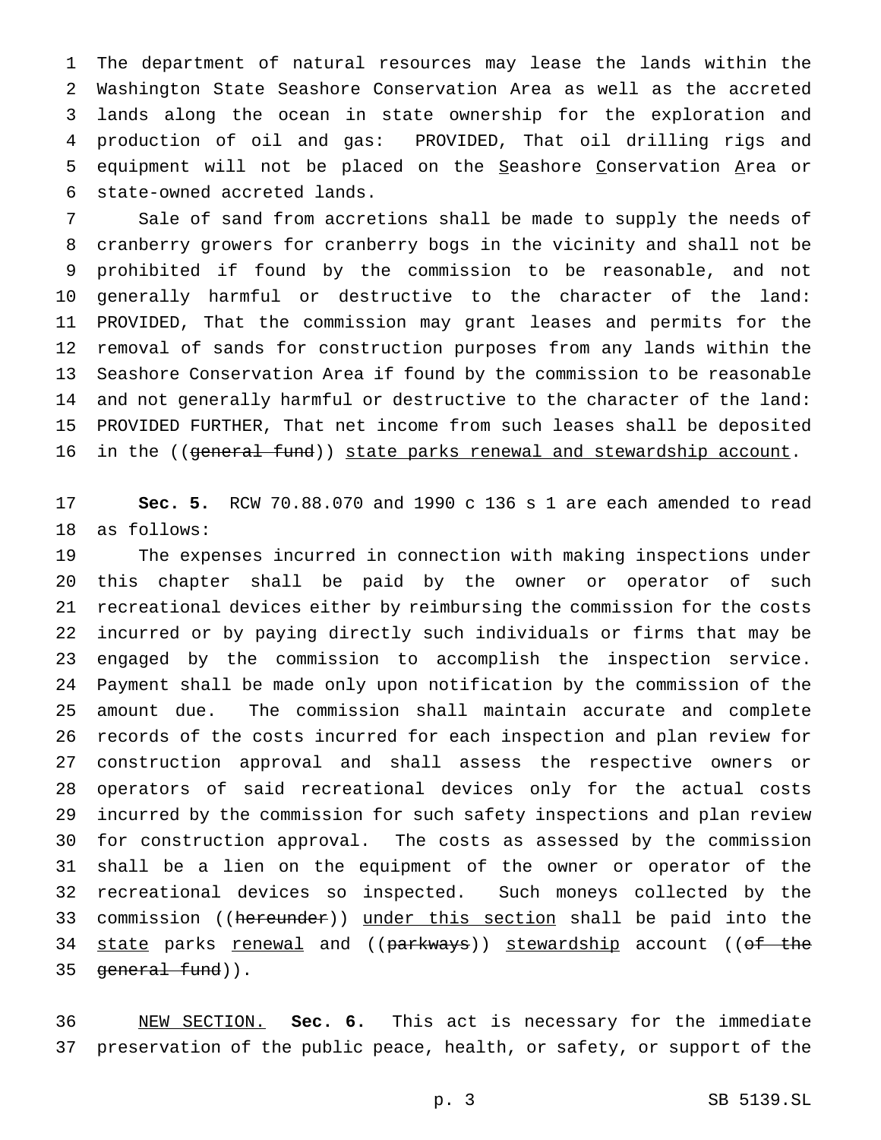The department of natural resources may lease the lands within the Washington State Seashore Conservation Area as well as the accreted lands along the ocean in state ownership for the exploration and production of oil and gas: PROVIDED, That oil drilling rigs and 5 equipment will not be placed on the Seashore Conservation Area or state-owned accreted lands.

 Sale of sand from accretions shall be made to supply the needs of cranberry growers for cranberry bogs in the vicinity and shall not be prohibited if found by the commission to be reasonable, and not generally harmful or destructive to the character of the land: PROVIDED, That the commission may grant leases and permits for the removal of sands for construction purposes from any lands within the Seashore Conservation Area if found by the commission to be reasonable and not generally harmful or destructive to the character of the land: PROVIDED FURTHER, That net income from such leases shall be deposited 16 in the ((general fund)) state parks renewal and stewardship account.

 **Sec. 5.** RCW 70.88.070 and 1990 c 136 s 1 are each amended to read as follows:

 The expenses incurred in connection with making inspections under this chapter shall be paid by the owner or operator of such recreational devices either by reimbursing the commission for the costs incurred or by paying directly such individuals or firms that may be engaged by the commission to accomplish the inspection service. Payment shall be made only upon notification by the commission of the amount due. The commission shall maintain accurate and complete records of the costs incurred for each inspection and plan review for construction approval and shall assess the respective owners or operators of said recreational devices only for the actual costs incurred by the commission for such safety inspections and plan review for construction approval. The costs as assessed by the commission shall be a lien on the equipment of the owner or operator of the recreational devices so inspected. Such moneys collected by the 33 commission ((hereunder)) under this section shall be paid into the 34 state parks renewal and ((parkways)) stewardship account ((of the 35 general fund)).

 NEW SECTION. **Sec. 6.** This act is necessary for the immediate preservation of the public peace, health, or safety, or support of the